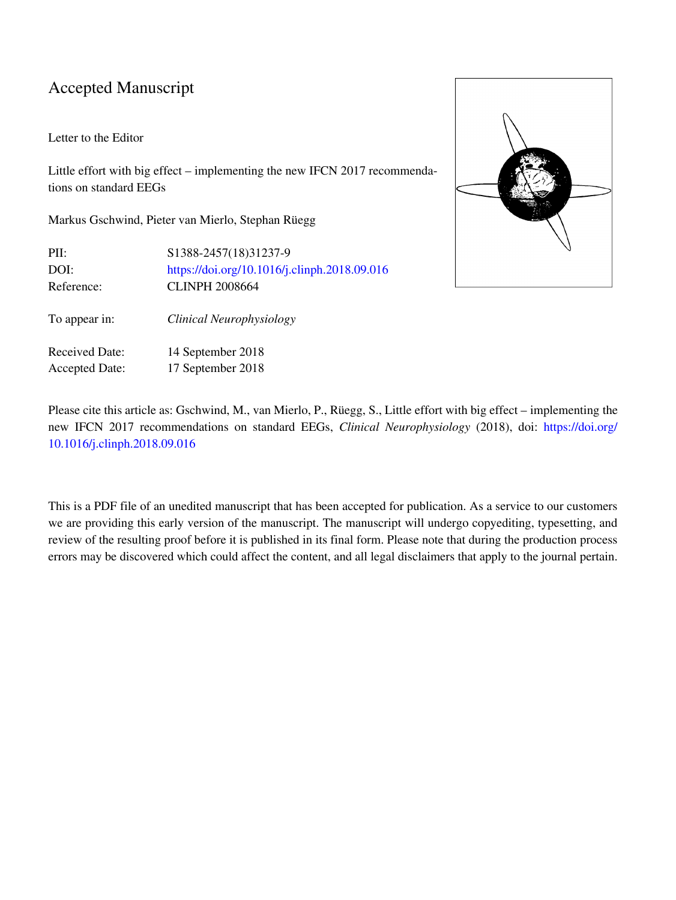### Accepted Manuscript

### Letter to the Editor

Little effort with big effect – implementing the new IFCN 2017 recommendations on standard EEGs

Markus Gschwind, Pieter van Mierlo, Stephan Rüegg

| PII:                  | S1388-2457(18)31237-9                        |
|-----------------------|----------------------------------------------|
| DOI:                  | https://doi.org/10.1016/j.clinph.2018.09.016 |
| Reference:            | <b>CLINPH 2008664</b>                        |
| To appear in:         | Clinical Neurophysiology                     |
| <b>Received Date:</b> | 14 September 2018                            |
| <b>Accepted Date:</b> | 17 September 2018                            |



Please cite this article as: Gschwind, M., van Mierlo, P., Rüegg, S., Little effort with big effect – implementing the new IFCN 2017 recommendations on standard EEGs, *Clinical Neurophysiology* (2018), doi: [https://doi.org/](https://doi.org/10.1016/j.clinph.2018.09.016) [10.1016/j.clinph.2018.09.016](https://doi.org/10.1016/j.clinph.2018.09.016)

This is a PDF file of an unedited manuscript that has been accepted for publication. As a service to our customers we are providing this early version of the manuscript. The manuscript will undergo copyediting, typesetting, and review of the resulting proof before it is published in its final form. Please note that during the production process errors may be discovered which could affect the content, and all legal disclaimers that apply to the journal pertain.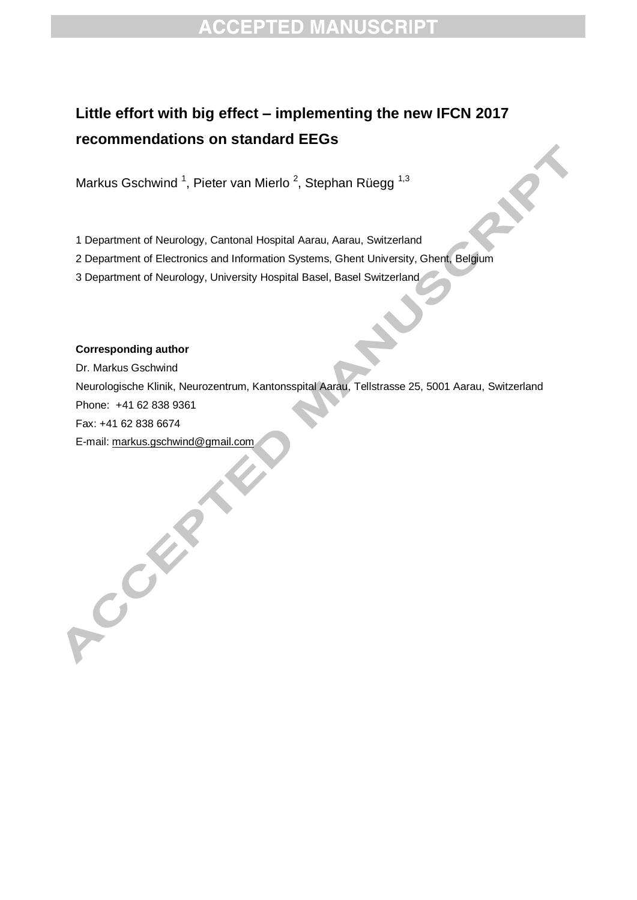# **ACCEPTED MANUSCRIPT**

## **Little effort with big effect – implementing the new IFCN 2017 recommendations on standard EEGs**

Markus Gschwind <sup>1</sup>, Pieter van Mierlo <sup>2</sup>, Stephan Rüegg <sup>1,3</sup>

1 Department of Neurology, Cantonal Hospital Aarau, Aarau, Switzerland

2 Department of Electronics and Information Systems, Ghent University, Ghent, Belgium

3 Department of Neurology, University Hospital Basel, Basel Switzerland

### **Corresponding author**

COLLEGE

Dr. Markus Gschwind Neurologische Klinik, Neurozentrum, Kantonsspital Aarau, Tellstrasse 25, 5001 Aarau, Switzerland Phone: +41 62 838 9361 Fax: +41 62 838 6674 E-mail: [markus.gschwind@gmail.com](mailto:markus.gschwind@gmail.com)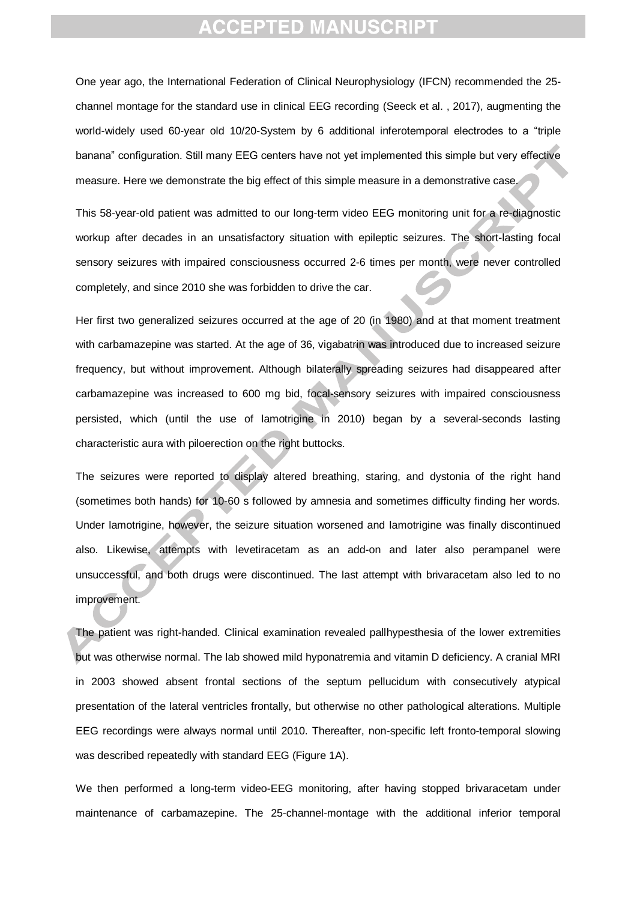### **CCEPTED MANUSCRIPT**

One year ago, the International Federation of Clinical Neurophysiology (IFCN) recommended the 25 channel montage for the standard use in clinical EEG recording (Seeck et al. , 2017), augmenting the world-widely used 60-year old 10/20-System by 6 additional inferotemporal electrodes to a "triple banana" configuration. Still many EEG centers have not yet implemented this simple but very effective measure. Here we demonstrate the big effect of this simple measure in a demonstrative case.

This 58-year-old patient was admitted to our long-term video EEG monitoring unit for a re-diagnostic workup after decades in an unsatisfactory situation with epileptic seizures. The short-lasting focal sensory seizures with impaired consciousness occurred 2-6 times per month, were never controlled completely, and since 2010 she was forbidden to drive the car.

Her first two generalized seizures occurred at the age of 20 (in 1980) and at that moment treatment with carbamazepine was started. At the age of 36, vigabatrin was introduced due to increased seizure frequency, but without improvement. Although bilaterally spreading seizures had disappeared after carbamazepine was increased to 600 mg bid, focal-sensory seizures with impaired consciousness persisted, which (until the use of lamotrigine in 2010) began by a several-seconds lasting characteristic aura with piloerection on the right buttocks.

The seizures were reported to display altered breathing, staring, and dystonia of the right hand (sometimes both hands) for 10-60 s followed by amnesia and sometimes difficulty finding her words. Under lamotrigine, however, the seizure situation worsened and lamotrigine was finally discontinued also. Likewise, attempts with levetiracetam as an add-on and later also perampanel were unsuccessful, and both drugs were discontinued. The last attempt with brivaracetam also led to no improvement.

The patient was right-handed. Clinical examination revealed pallhypesthesia of the lower extremities but was otherwise normal. The lab showed mild hyponatremia and vitamin D deficiency. A cranial MRI in 2003 showed absent frontal sections of the septum pellucidum with consecutively atypical presentation of the lateral ventricles frontally, but otherwise no other pathological alterations. Multiple EEG recordings were always normal until 2010. Thereafter, non-specific left fronto-temporal slowing was described repeatedly with standard EEG (Figure 1A).

We then performed a long-term video-EEG monitoring, after having stopped brivaracetam under maintenance of carbamazepine. The 25-channel-montage with the additional inferior temporal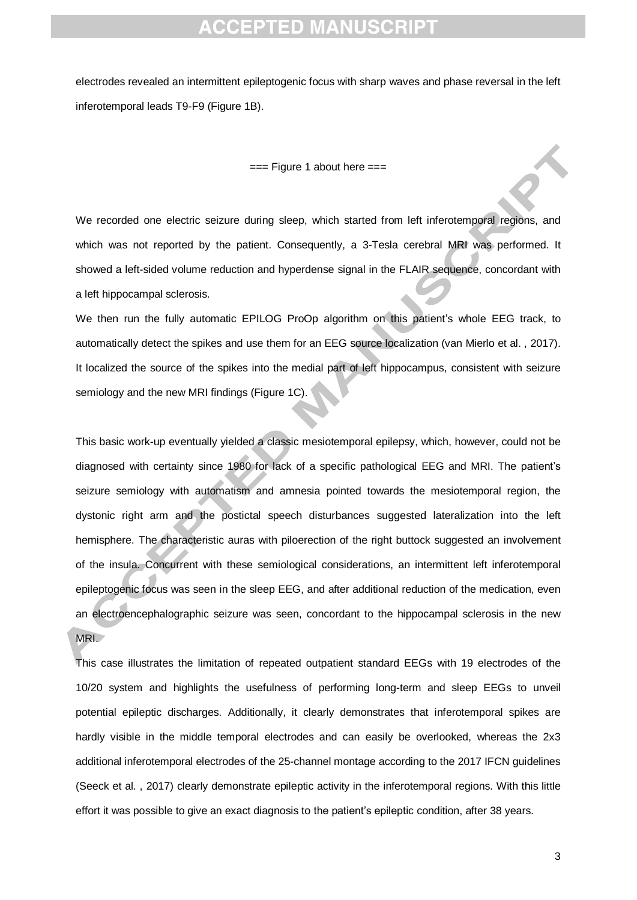## **CCEPTED MANUSCRIPT**

electrodes revealed an intermittent epileptogenic focus with sharp waves and phase reversal in the left inferotemporal leads T9-F9 (Figure 1B).

#### $==$  Figure 1 about here  $==$

We recorded one electric seizure during sleep, which started from left inferotemporal regions, and which was not reported by the patient. Consequently, a 3-Tesla cerebral MRI was performed. It showed a left-sided volume reduction and hyperdense signal in the FLAIR sequence, concordant with a left hippocampal sclerosis.

We then run the fully automatic EPILOG ProOp algorithm on this patient's whole EEG track, to automatically detect the spikes and use them for an EEG source localization (van Mierlo et al. , 2017). It localized the source of the spikes into the medial part of left hippocampus, consistent with seizure semiology and the new MRI findings (Figure 1C).

This basic work-up eventually yielded a classic mesiotemporal epilepsy, which, however, could not be diagnosed with certainty since 1980 for lack of a specific pathological EEG and MRI. The patient's seizure semiology with automatism and amnesia pointed towards the mesiotemporal region, the dystonic right arm and the postictal speech disturbances suggested lateralization into the left hemisphere. The characteristic auras with piloerection of the right buttock suggested an involvement of the insula. Concurrent with these semiological considerations, an intermittent left inferotemporal epileptogenic focus was seen in the sleep EEG, and after additional reduction of the medication, even an electroencephalographic seizure was seen, concordant to the hippocampal sclerosis in the new MRI.

This case illustrates the limitation of repeated outpatient standard EEGs with 19 electrodes of the 10/20 system and highlights the usefulness of performing long-term and sleep EEGs to unveil potential epileptic discharges. Additionally, it clearly demonstrates that inferotemporal spikes are hardly visible in the middle temporal electrodes and can easily be overlooked, whereas the 2x3 additional inferotemporal electrodes of the 25-channel montage according to the 2017 IFCN guidelines (Seeck et al. , 2017) clearly demonstrate epileptic activity in the inferotemporal regions. With this little effort it was possible to give an exact diagnosis to the patient's epileptic condition, after 38 years.

3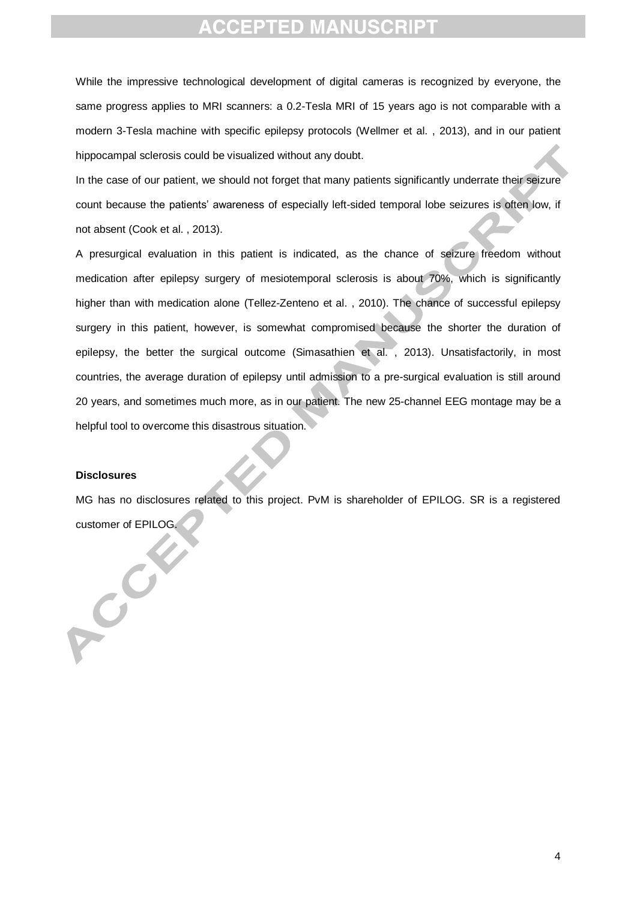## **CCEPTED MANUSCRIPT**

While the impressive technological development of digital cameras is recognized by everyone, the same progress applies to MRI scanners: a 0.2-Tesla MRI of 15 years ago is not comparable with a modern 3-Tesla machine with specific epilepsy protocols (Wellmer et al. , 2013), and in our patient hippocampal sclerosis could be visualized without any doubt.

In the case of our patient, we should not forget that many patients significantly underrate their seizure count because the patients' awareness of especially left-sided temporal lobe seizures is often low, if not absent (Cook et al. , 2013).

A presurgical evaluation in this patient is indicated, as the chance of seizure freedom without medication after epilepsy surgery of mesiotemporal sclerosis is about 70%, which is significantly higher than with medication alone (Tellez-Zenteno et al., 2010). The chance of successful epilepsy surgery in this patient, however, is somewhat compromised because the shorter the duration of epilepsy, the better the surgical outcome (Simasathien et al. , 2013). Unsatisfactorily, in most countries, the average duration of epilepsy until admission to a pre-surgical evaluation is still around 20 years, and sometimes much more, as in our patient. The new 25-channel EEG montage may be a helpful tool to overcome this disastrous situation.

### **Disclosures**

 $c^{C}$ 

MG has no disclosures related to this project. PvM is shareholder of EPILOG. SR is a registered customer of EPILOG.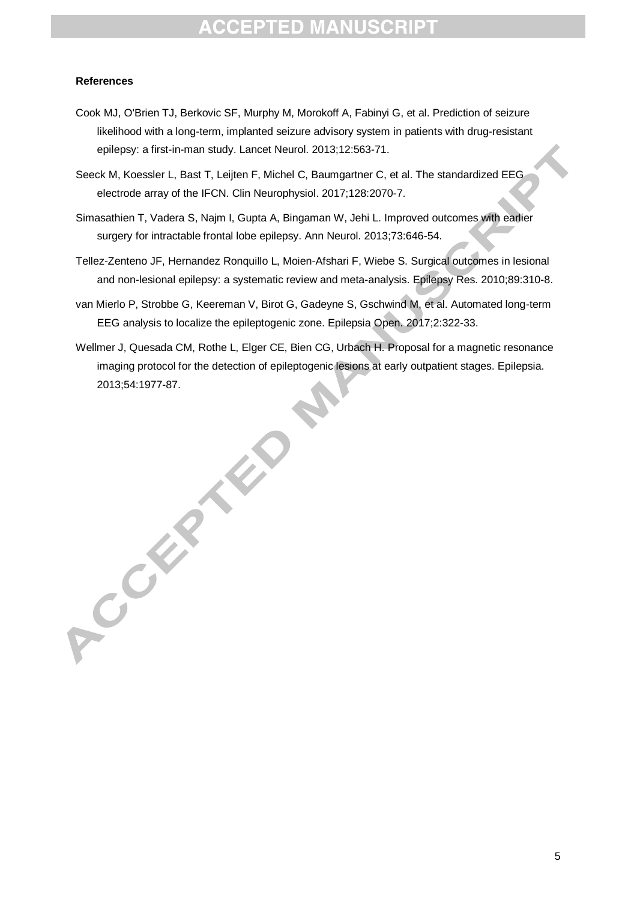## **ACCEPTED MANUSCRIPT**

### **References**

- Cook MJ, O'Brien TJ, Berkovic SF, Murphy M, Morokoff A, Fabinyi G, et al. Prediction of seizure likelihood with a long-term, implanted seizure advisory system in patients with drug-resistant epilepsy: a first-in-man study. Lancet Neurol. 2013;12:563-71.
- Seeck M, Koessler L, Bast T, Leijten F, Michel C, Baumgartner C, et al. The standardized EEG electrode array of the IFCN. Clin Neurophysiol. 2017;128:2070-7.
- Simasathien T, Vadera S, Najm I, Gupta A, Bingaman W, Jehi L. Improved outcomes with earlier surgery for intractable frontal lobe epilepsy. Ann Neurol. 2013;73:646-54.
- Tellez-Zenteno JF, Hernandez Ronquillo L, Moien-Afshari F, Wiebe S. Surgical outcomes in lesional and non-lesional epilepsy: a systematic review and meta-analysis. Epilepsy Res. 2010;89:310-8.
- van Mierlo P, Strobbe G, Keereman V, Birot G, Gadeyne S, Gschwind M, et al. Automated long-term EEG analysis to localize the epileptogenic zone. Epilepsia Open. 2017;2:322-33.
- Wellmer J, Quesada CM, Rothe L, Elger CE, Bien CG, Urbach H. Proposal for a magnetic resonance imaging protocol for the detection of epileptogenic lesions at early outpatient stages. Epilepsia. 2013;54:1977-87.

ACCEPTED